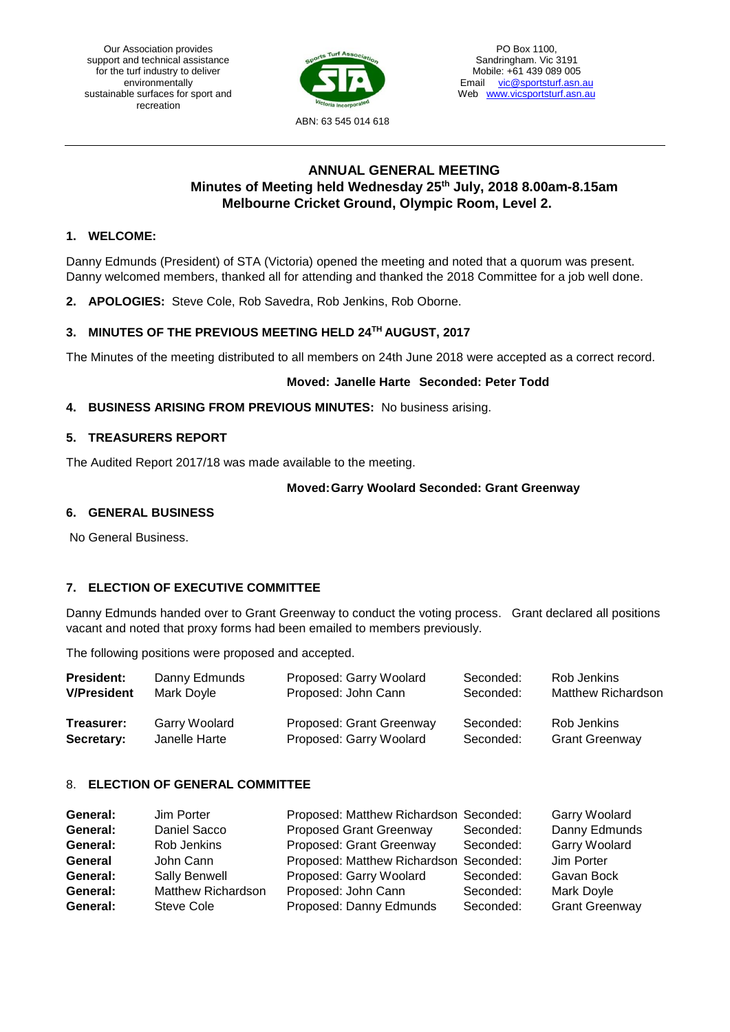Our Association provides support and technical assistance for the turf industry to deliver environmentally sustainable surfaces for sport and recreation



PO Box 1100, Sandringham. Vic 3191 Mobile: +61 439 089 005 Email [vic@sportsturf.asn.au](mailto:vic@sportsturf.asn.au) Web [www.vicsportsturf.asn.au](http://www.vicsportsturf.asn.au/)

# **ANNUAL GENERAL MEETING Minutes of Meeting held Wednesday 25th July, 2018 8.00am-8.15am Melbourne Cricket Ground, Olympic Room, Level 2.**

# **1. WELCOME:**

Danny Edmunds (President) of STA (Victoria) opened the meeting and noted that a quorum was present. Danny welcomed members, thanked all for attending and thanked the 2018 Committee for a job well done.

**2. APOLOGIES:** Steve Cole, Rob Savedra, Rob Jenkins, Rob Oborne.

# **3. MINUTES OF THE PREVIOUS MEETING HELD 24TH AUGUST, 2017**

The Minutes of the meeting distributed to all members on 24th June 2018 were accepted as a correct record.

#### **Moved: Janelle Harte Seconded: Peter Todd**

#### **4. BUSINESS ARISING FROM PREVIOUS MINUTES:** No business arising.

### **5. TREASURERS REPORT**

The Audited Report 2017/18 was made available to the meeting.

#### **Moved:Garry Woolard Seconded: Grant Greenway**

#### **6. GENERAL BUSINESS**

No General Business.

# **7. ELECTION OF EXECUTIVE COMMITTEE**

Danny Edmunds handed over to Grant Greenway to conduct the voting process. Grant declared all positions vacant and noted that proxy forms had been emailed to members previously.

The following positions were proposed and accepted.

| <b>President:</b>  | Danny Edmunds | Proposed: Garry Woolard  | Seconded: | Rob Jenkins               |
|--------------------|---------------|--------------------------|-----------|---------------------------|
| <b>V/President</b> | Mark Doyle    | Proposed: John Cann      | Seconded: | <b>Matthew Richardson</b> |
| Treasurer:         | Garry Woolard | Proposed: Grant Greenway | Seconded: | Rob Jenkins               |
| Secretary:         | Janelle Harte | Proposed: Garry Woolard  | Seconded: | <b>Grant Greenway</b>     |

# 8. **ELECTION OF GENERAL COMMITTEE**

| General: | Jim Porter                | Proposed: Matthew Richardson Seconded: |           | Garry Woolard         |
|----------|---------------------------|----------------------------------------|-----------|-----------------------|
| General: | Daniel Sacco              | <b>Proposed Grant Greenway</b>         | Seconded: | Danny Edmunds         |
| General: | Rob Jenkins               | Proposed: Grant Greenway               | Seconded: | Garry Woolard         |
| General  | John Cann                 | Proposed: Matthew Richardson Seconded: |           | Jim Porter            |
| General: | <b>Sally Benwell</b>      | Proposed: Garry Woolard                | Seconded: | Gavan Bock            |
| General: | <b>Matthew Richardson</b> | Proposed: John Cann                    | Seconded: | Mark Doyle            |
| General: | Steve Cole                | Proposed: Danny Edmunds                | Seconded: | <b>Grant Greenway</b> |